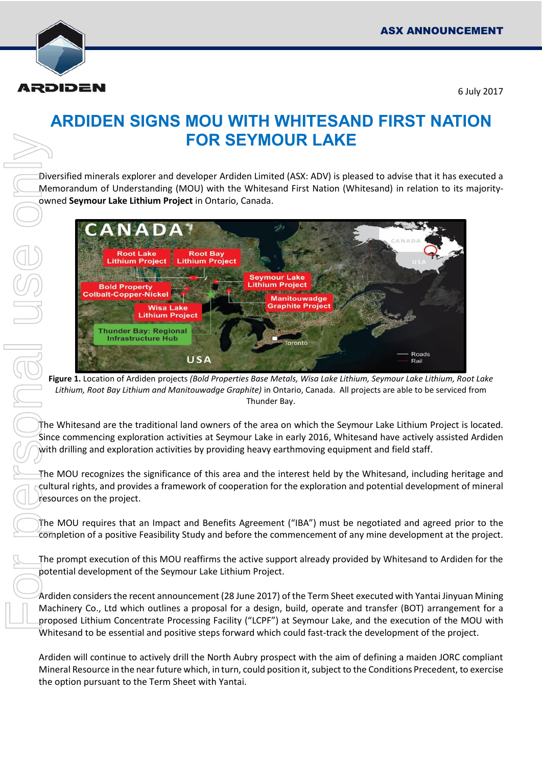

6 July 2017

## **ARDIDEN SIGNS MOU WITH WHITESAND FIRST NATION FOR SEYMOUR LAKE**

Diversified minerals explorer and developer Ardiden Limited (ASX: ADV) is pleased to advise that it has executed a Memorandum of Understanding (MOU) with the Whitesand First Nation (Whitesand) in relation to its majorityowned **Seymour Lake Lithium Project** in Ontario, Canada.



**Figure 1.** Location of Ardiden projects *(Bold Properties Base Metals, Wisa Lake Lithium, Seymour Lake Lithium, Root Lake Lithium, Root Bay Lithium and Manitouwadge Graphite)* in Ontario, Canada. All projects are able to be serviced from Thunder Bay.

The Whitesand are the traditional land owners of the area on which the Seymour Lake Lithium Project is located. Since commencing exploration activities at Seymour Lake in early 2016, Whitesand have actively assisted Ardiden with drilling and exploration activities by providing heavy earthmoving equipment and field staff.

The MOU recognizes the significance of this area and the interest held by the Whitesand, including heritage and cultural rights, and provides a framework of cooperation for the exploration and potential development of mineral resources on the project.

The MOU requires that an Impact and Benefits Agreement ("IBA") must be negotiated and agreed prior to the completion of a positive Feasibility Study and before the commencement of any mine development at the project.

The prompt execution of this MOU reaffirms the active support already provided by Whitesand to Ardiden for the potential development of the Seymour Lake Lithium Project.

Ardiden considers the recent announcement (28 June 2017) of the Term Sheet executed with Yantai Jinyuan Mining Machinery Co., Ltd which outlines a proposal for a design, build, operate and transfer (BOT) arrangement for a proposed Lithium Concentrate Processing Facility ("LCPF") at Seymour Lake, and the execution of the MOU with Whitesand to be essential and positive steps forward which could fast-track the development of the project.

Ardiden will continue to actively drill the North Aubry prospect with the aim of defining a maiden JORC compliant Mineral Resource in the near future which, in turn, could position it, subject to the Conditions Precedent, to exercise the option pursuant to the Term Sheet with Yantai.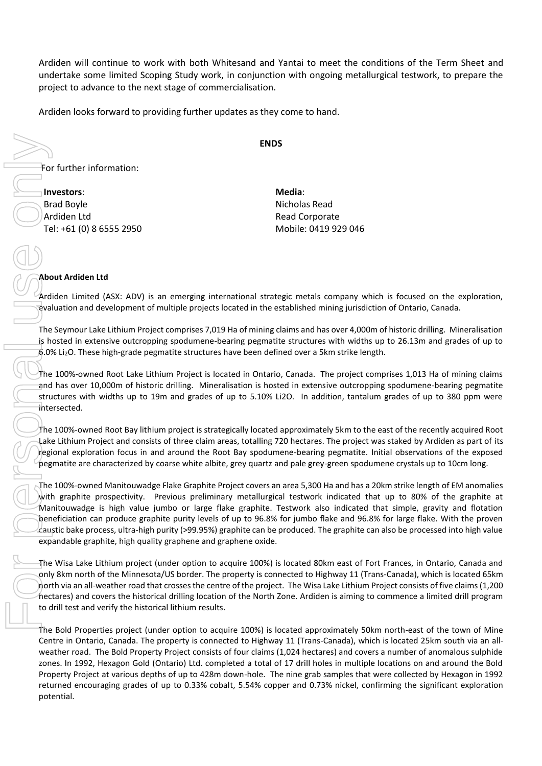Ardiden will continue to work with both Whitesand and Yantai to meet the conditions of the Term Sheet and undertake some limited Scoping Study work, in conjunction with ongoing metallurgical testwork, to prepare the project to advance to the next stage of commercialisation.

Ardiden looks forward to providing further updates as they come to hand.

**ENDS** 

For further information:

**Investors**: Brad Boyle Ardiden Ltd Tel: +61 (0) 8 6555 2950 **Media**: Nicholas Read Read Corporate Mobile: 0419 929 046

## **About Ardiden Ltd**

Ardiden Limited (ASX: ADV) is an emerging international strategic metals company which is focused on the exploration, evaluation and development of multiple projects located in the established mining jurisdiction of Ontario, Canada.

The Seymour Lake Lithium Project comprises 7,019 Ha of mining claims and has over 4,000m of historic drilling. Mineralisation is hosted in extensive outcropping spodumene-bearing pegmatite structures with widths up to 26.13m and grades of up to 6.0% Li2O. These high-grade pegmatite structures have been defined over a 5km strike length.

The 100%-owned Root Lake Lithium Project is located in Ontario, Canada. The project comprises 1,013 Ha of mining claims and has over 10,000m of historic drilling. Mineralisation is hosted in extensive outcropping spodumene-bearing pegmatite structures with widths up to 19m and grades of up to 5.10% Li2O. In addition, tantalum grades of up to 380 ppm were intersected.

The 100%-owned Root Bay lithium project is strategically located approximately 5km to the east of the recently acquired Root Lake Lithium Project and consists of three claim areas, totalling 720 hectares. The project was staked by Ardiden as part of its regional exploration focus in and around the Root Bay spodumene-bearing pegmatite. Initial observations of the exposed pegmatite are characterized by coarse white albite, grey quartz and pale grey-green spodumene crystals up to 10cm long.

The 100%-owned Manitouwadge Flake Graphite Project covers an area 5,300 Ha and has a 20km strike length of EM anomalies with graphite prospectivity. Previous preliminary metallurgical testwork indicated that up to 80% of the graphite at Manitouwadge is high value jumbo or large flake graphite. Testwork also indicated that simple, gravity and flotation beneficiation can produce graphite purity levels of up to 96.8% for jumbo flake and 96.8% for large flake. With the proven caustic bake process, ultra-high purity (>99.95%) graphite can be produced. The graphite can also be processed into high value expandable graphite, high quality graphene and graphene oxide.

The Wisa Lake Lithium project (under option to acquire 100%) is located 80km east of Fort Frances, in Ontario, Canada and only 8km north of the Minnesota/US border. The property is connected to Highway 11 (Trans-Canada), which is located 65km north via an all-weather road that crosses the centre of the project. The Wisa Lake Lithium Project consists of five claims (1,200 hectares) and covers the historical drilling location of the North Zone. Ardiden is aiming to commence a limited drill program to drill test and verify the historical lithium results.

The Bold Properties project (under option to acquire 100%) is located approximately 50km north-east of the town of Mine Centre in Ontario, Canada. The property is connected to Highway 11 (Trans-Canada), which is located 25km south via an allweather road. The Bold Property Project consists of four claims (1,024 hectares) and covers a number of anomalous sulphide zones. In 1992, Hexagon Gold (Ontario) Ltd. completed a total of 17 drill holes in multiple locations on and around the Bold Property Project at various depths of up to 428m down-hole. The nine grab samples that were collected by Hexagon in 1992 returned encouraging grades of up to 0.33% cobalt, 5.54% copper and 0.73% nickel, confirming the significant exploration potential.